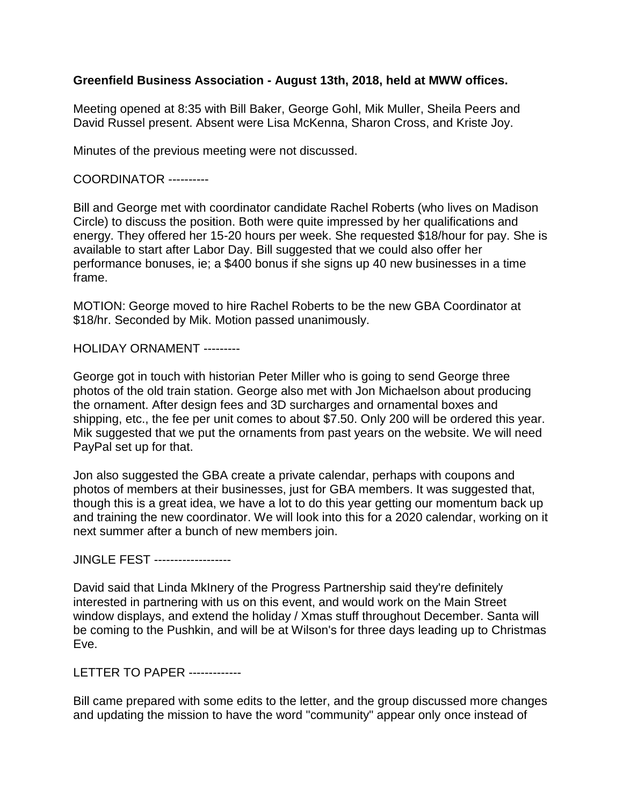## **Greenfield Business Association - August 13th, 2018, held at MWW offices.**

Meeting opened at 8:35 with Bill Baker, George Gohl, Mik Muller, Sheila Peers and David Russel present. Absent were Lisa McKenna, Sharon Cross, and Kriste Joy.

Minutes of the previous meeting were not discussed.

COORDINATOR ----------

Bill and George met with coordinator candidate Rachel Roberts (who lives on Madison Circle) to discuss the position. Both were quite impressed by her qualifications and energy. They offered her 15-20 hours per week. She requested \$18/hour for pay. She is available to start after Labor Day. Bill suggested that we could also offer her performance bonuses, ie; a \$400 bonus if she signs up 40 new businesses in a time frame.

MOTION: George moved to hire Rachel Roberts to be the new GBA Coordinator at \$18/hr. Seconded by Mik. Motion passed unanimously.

HOLIDAY ORNAMENT ---------

George got in touch with historian Peter Miller who is going to send George three photos of the old train station. George also met with Jon Michaelson about producing the ornament. After design fees and 3D surcharges and ornamental boxes and shipping, etc., the fee per unit comes to about \$7.50. Only 200 will be ordered this year. Mik suggested that we put the ornaments from past years on the website. We will need PayPal set up for that.

Jon also suggested the GBA create a private calendar, perhaps with coupons and photos of members at their businesses, just for GBA members. It was suggested that, though this is a great idea, we have a lot to do this year getting our momentum back up and training the new coordinator. We will look into this for a 2020 calendar, working on it next summer after a bunch of new members join.

JINGLE FEST -------------------

David said that Linda MkInery of the Progress Partnership said they're definitely interested in partnering with us on this event, and would work on the Main Street window displays, and extend the holiday / Xmas stuff throughout December. Santa will be coming to the Pushkin, and will be at Wilson's for three days leading up to Christmas Eve.

LETTER TO PAPER -------------

Bill came prepared with some edits to the letter, and the group discussed more changes and updating the mission to have the word "community" appear only once instead of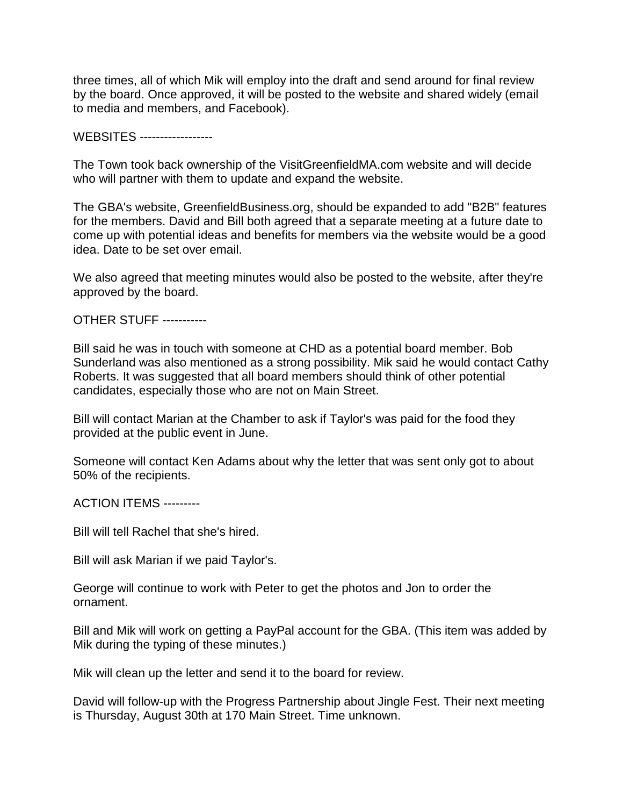three times, all of which Mik will employ into the draft and send around for final review by the board. Once approved, it will be posted to the website and shared widely (email to media and members, and Facebook).

WEBSITES ------------------

The Town took back ownership of the VisitGreenfieldMA.com website and will decide who will partner with them to update and expand the website.

The GBA's website, GreenfieldBusiness.org, should be expanded to add "B2B" features for the members. David and Bill both agreed that a separate meeting at a future date to come up with potential ideas and benefits for members via the website would be a good idea. Date to be set over email.

We also agreed that meeting minutes would also be posted to the website, after they're approved by the board.

OTHER STUFF -----------

Bill said he was in touch with someone at CHD as a potential board member. Bob Sunderland was also mentioned as a strong possibility. Mik said he would contact Cathy Roberts. It was suggested that all board members should think of other potential candidates, especially those who are not on Main Street.

Bill will contact Marian at the Chamber to ask if Taylor's was paid for the food they provided at the public event in June.

Someone will contact Ken Adams about why the letter that was sent only got to about 50% of the recipients.

ACTION ITEMS ---------

Bill will tell Rachel that she's hired.

Bill will ask Marian if we paid Taylor's.

George will continue to work with Peter to get the photos and Jon to order the ornament.

Bill and Mik will work on getting a PayPal account for the GBA. (This item was added by Mik during the typing of these minutes.)

Mik will clean up the letter and send it to the board for review.

David will follow-up with the Progress Partnership about Jingle Fest. Their next meeting is Thursday, August 30th at 170 Main Street. Time unknown.